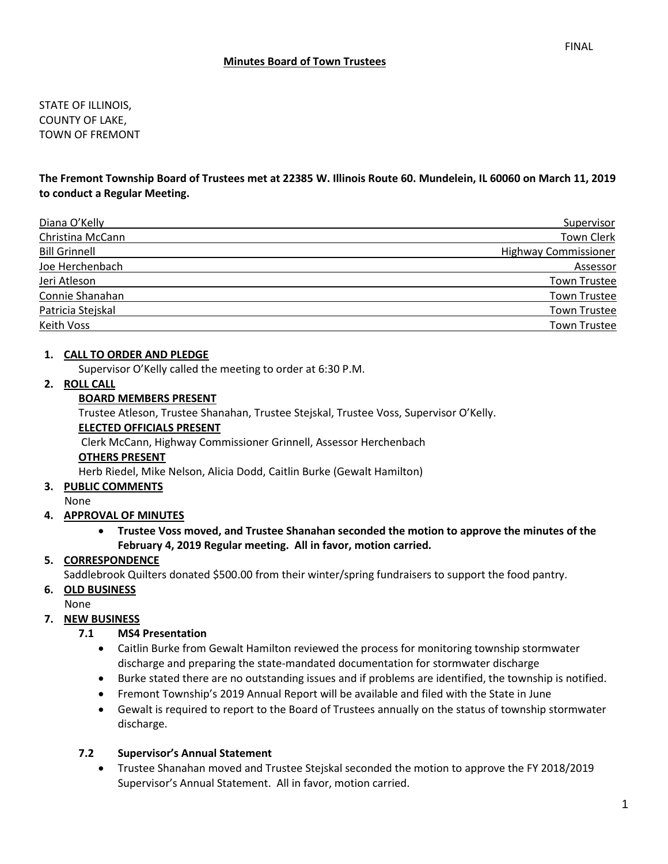STATE OF ILLINOIS, COUNTY OF LAKE, TOWN OF FREMONT

**The Fremont Township Board of Trustees met at 22385 W. Illinois Route 60. Mundelein, IL 60060 on March 11, 2019 to conduct a Regular Meeting.**

| Diana O'Kelly        | Supervisor                  |
|----------------------|-----------------------------|
| Christina McCann     | <b>Town Clerk</b>           |
| <b>Bill Grinnell</b> | <b>Highway Commissioner</b> |
| Joe Herchenbach      | Assessor                    |
| Jeri Atleson         | <b>Town Trustee</b>         |
| Connie Shanahan      | <b>Town Trustee</b>         |
| Patricia Stejskal    | <b>Town Trustee</b>         |
| Keith Voss           | <b>Town Trustee</b>         |

## **1. CALL TO ORDER AND PLEDGE**

Supervisor O'Kelly called the meeting to order at 6:30 P.M.

## **2. ROLL CALL**

## **BOARD MEMBERS PRESENT**

Trustee Atleson, Trustee Shanahan, Trustee Stejskal, Trustee Voss, Supervisor O'Kelly.

#### **ELECTED OFFICIALS PRESENT**

Clerk McCann, Highway Commissioner Grinnell, Assessor Herchenbach

#### **OTHERS PRESENT**

Herb Riedel, Mike Nelson, Alicia Dodd, Caitlin Burke (Gewalt Hamilton)

#### **3. PUBLIC COMMENTS**

None

#### **4. APPROVAL OF MINUTES**

• **Trustee Voss moved, and Trustee Shanahan seconded the motion to approve the minutes of the February 4, 2019 Regular meeting. All in favor, motion carried.** 

# **5. CORRESPONDENCE**

Saddlebrook Quilters donated \$500.00 from their winter/spring fundraisers to support the food pantry.

#### **6. OLD BUSINESS**

None

#### **7. NEW BUSINESS**

#### **7.1 MS4 Presentation**

- Caitlin Burke from Gewalt Hamilton reviewed the process for monitoring township stormwater discharge and preparing the state-mandated documentation for stormwater discharge
- Burke stated there are no outstanding issues and if problems are identified, the township is notified.
- Fremont Township's 2019 Annual Report will be available and filed with the State in June
- Gewalt is required to report to the Board of Trustees annually on the status of township stormwater discharge.

#### **7.2 Supervisor's Annual Statement**

• Trustee Shanahan moved and Trustee Stejskal seconded the motion to approve the FY 2018/2019 Supervisor's Annual Statement. All in favor, motion carried.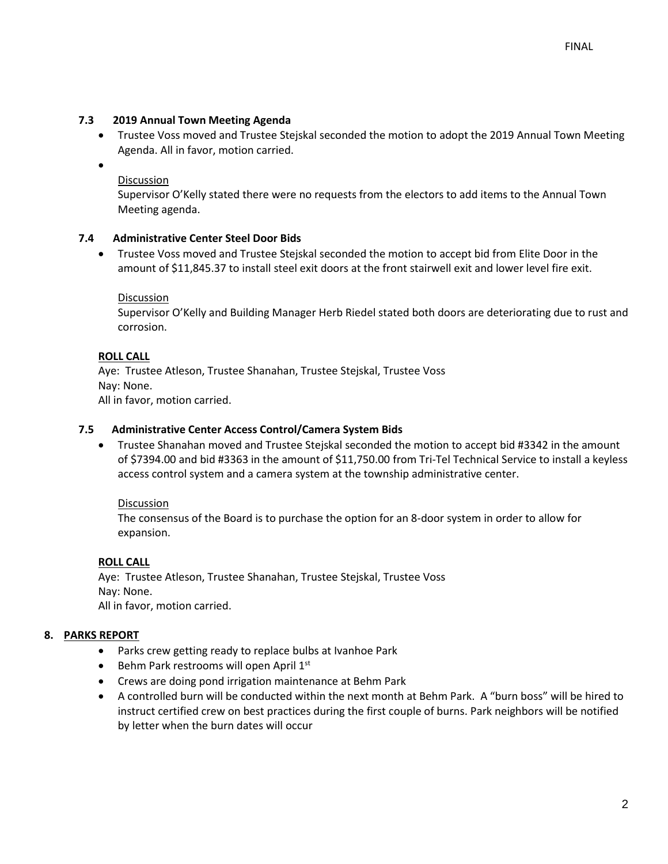# **7.3 2019 Annual Town Meeting Agenda**

• Trustee Voss moved and Trustee Stejskal seconded the motion to adopt the 2019 Annual Town Meeting Agenda. All in favor, motion carried.

•

# **Discussion**

Supervisor O'Kelly stated there were no requests from the electors to add items to the Annual Town Meeting agenda.

# **7.4 Administrative Center Steel Door Bids**

• Trustee Voss moved and Trustee Stejskal seconded the motion to accept bid from Elite Door in the amount of \$11,845.37 to install steel exit doors at the front stairwell exit and lower level fire exit.

## Discussion

Supervisor O'Kelly and Building Manager Herb Riedel stated both doors are deteriorating due to rust and corrosion.

## **ROLL CALL**

Aye: Trustee Atleson, Trustee Shanahan, Trustee Stejskal, Trustee Voss Nay: None. All in favor, motion carried.

## **7.5 Administrative Center Access Control/Camera System Bids**

• Trustee Shanahan moved and Trustee Stejskal seconded the motion to accept bid #3342 in the amount of \$7394.00 and bid #3363 in the amount of \$11,750.00 from Tri-Tel Technical Service to install a keyless access control system and a camera system at the township administrative center.

#### Discussion

The consensus of the Board is to purchase the option for an 8-door system in order to allow for expansion.

#### **ROLL CALL**

Aye: Trustee Atleson, Trustee Shanahan, Trustee Stejskal, Trustee Voss Nay: None. All in favor, motion carried.

#### **8. PARKS REPORT**

- Parks crew getting ready to replace bulbs at Ivanhoe Park
- Behm Park restrooms will open April 1<sup>st</sup>
- Crews are doing pond irrigation maintenance at Behm Park
- A controlled burn will be conducted within the next month at Behm Park. A "burn boss" will be hired to instruct certified crew on best practices during the first couple of burns. Park neighbors will be notified by letter when the burn dates will occur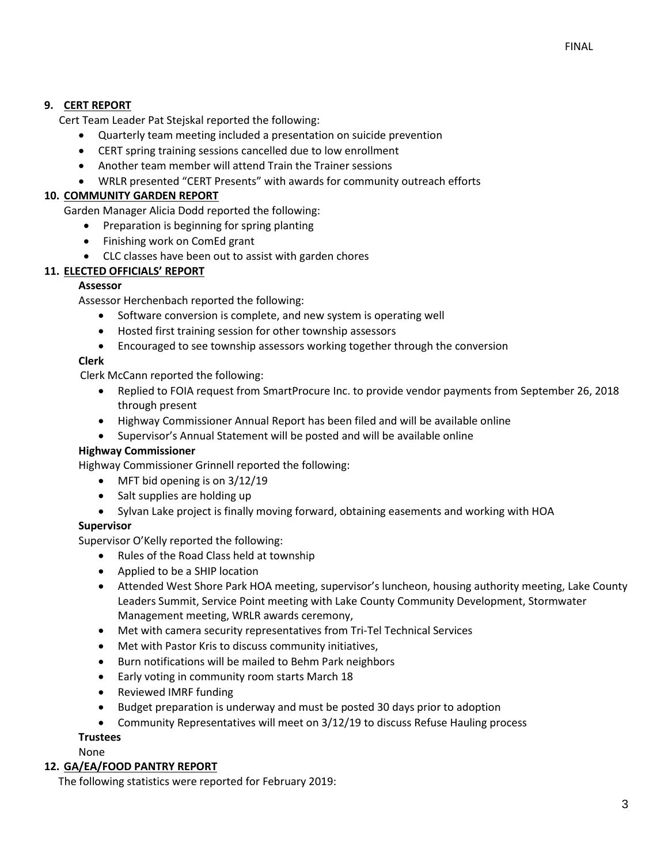# **9. CERT REPORT**

Cert Team Leader Pat Stejskal reported the following:

- Quarterly team meeting included a presentation on suicide prevention
- CERT spring training sessions cancelled due to low enrollment
- Another team member will attend Train the Trainer sessions
- WRLR presented "CERT Presents" with awards for community outreach efforts

# **10. COMMUNITY GARDEN REPORT**

Garden Manager Alicia Dodd reported the following:

- Preparation is beginning for spring planting
- Finishing work on ComEd grant
- CLC classes have been out to assist with garden chores

# **11. ELECTED OFFICIALS' REPORT**

## **Assessor**

Assessor Herchenbach reported the following:

- Software conversion is complete, and new system is operating well
- Hosted first training session for other township assessors
- Encouraged to see township assessors working together through the conversion

## **Clerk**

Clerk McCann reported the following:

- Replied to FOIA request from SmartProcure Inc. to provide vendor payments from September 26, 2018 through present
- Highway Commissioner Annual Report has been filed and will be available online
- Supervisor's Annual Statement will be posted and will be available online

#### **Highway Commissioner**

Highway Commissioner Grinnell reported the following:

- MFT bid opening is on 3/12/19
- Salt supplies are holding up
- Sylvan Lake project is finally moving forward, obtaining easements and working with HOA

# **Supervisor**

Supervisor O'Kelly reported the following:

- Rules of the Road Class held at township
- Applied to be a SHIP location
- Attended West Shore Park HOA meeting, supervisor's luncheon, housing authority meeting, Lake County Leaders Summit, Service Point meeting with Lake County Community Development, Stormwater Management meeting, WRLR awards ceremony,
- Met with camera security representatives from Tri-Tel Technical Services
- Met with Pastor Kris to discuss community initiatives,
- Burn notifications will be mailed to Behm Park neighbors
- Early voting in community room starts March 18
- Reviewed IMRF funding
- Budget preparation is underway and must be posted 30 days prior to adoption
- Community Representatives will meet on 3/12/19 to discuss Refuse Hauling process

## **Trustees**

None

#### **12. GA/EA/FOOD PANTRY REPORT**

The following statistics were reported for February 2019: